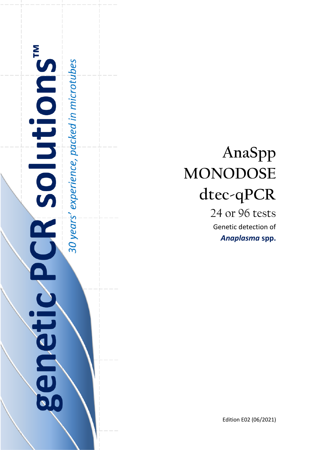

# **AnaSpp MONODOSE dtec-qPCR**

24 or 96 tests Genetic detection of *Anaplasma* **spp.**

Edition E02 (06/2021)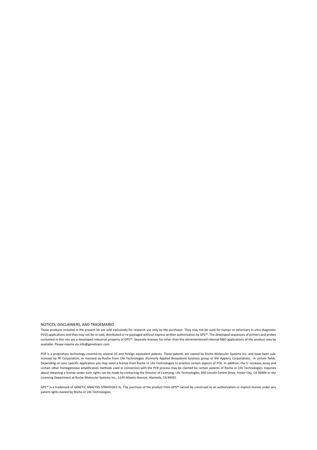#### NOTICES, DISCLAIMERS, AND TRADEMARKS

These products included in the present kit are sold exclusively for research use only by the purchaser. They may not be used for human or veterinary in vitro diagnostic (IVD) applications and they may not be re-sold, distributed or re-packaged without express written authorization by GPS™. The developed sequences of primers and probes contained in this mix are a developed industrial property of GPS™. Separate licenses for other than the aforementioned internal R&D applications of the product may be available. Please inquire via info@geneticpcr.com.

PCR is a proprietary technology covered by several US and foreign equivalent patents. These patents are owned by Roche Molecular Systems Inc. and have been sublicensed by PE Corporation, or licensed by Roche from Life Technologies (formerly Applied Biosystems business group of the Applera Corporation), in certain fields. Depending on your specific application you may need a license from Roche or Life Technologies to practice certain aspects of PCR. In addition, the 5' nuclease assay and certain other homogeneous amplification methods used in connection with the PCR process may be claimed by certain patents of Roche or Life Technologies. Inquiries about obtaining a license under such rights can be made by contacting the Director of Licensing, Life Technologies, 850 Lincoln Centre Drive, Foster City, CA 94404 or the Licensing Department at Roche Molecular Systems Inc., 1145 Atlantic Avenue, Alameda, CA 94501.

GPS™ is a trademark of GENETIC ANALYSIS STRATEGIES SL. The purchase of the product from GPS™ cannot be construed as an authorization or implicit license under any patent rights owned by Roche or Life Technologies.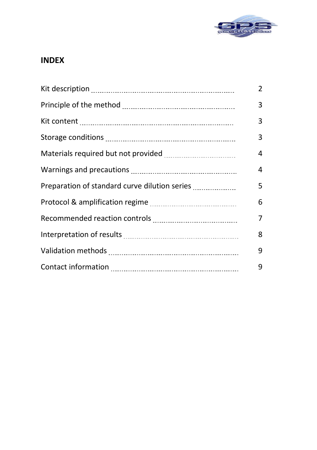

# **INDEX**

|                                               | $\overline{2}$ |
|-----------------------------------------------|----------------|
|                                               | 3              |
|                                               | 3              |
|                                               | 3              |
|                                               | 4              |
|                                               | 4              |
| Preparation of standard curve dilution series | 5              |
|                                               | 6              |
|                                               | 7              |
|                                               | 8              |
|                                               | 9              |
|                                               | 9              |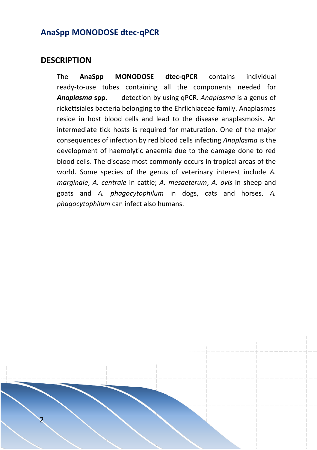#### **DESCRIPTION**

The **AnaSpp MONODOSE dtec-qPCR** contains individual ready-to-use tubes containing all the components needed for *Anaplasma* **spp.** detection by using qPCR. *Anaplasma* is a genus of rickettsiales bacteria belonging to the Ehrlichiaceae family. Anaplasmas reside in host blood cells and lead to the disease anaplasmosis. An intermediate tick hosts is required for maturation. One of the major consequences of infection by red blood cells infecting *Anaplasma* is the development of haemolytic anaemia due to the damage done to red blood cells. The disease most commonly occurs in tropical areas of the world. Some species of the genus of veterinary interest include *A. marginale*, *A. centrale* in cattle; *A. mesaeterum*, *A. ovis* in sheep and goats and *A. phagocytophilum* in dogs, cats and horses. *A. phagocytophilum* can infect also humans.

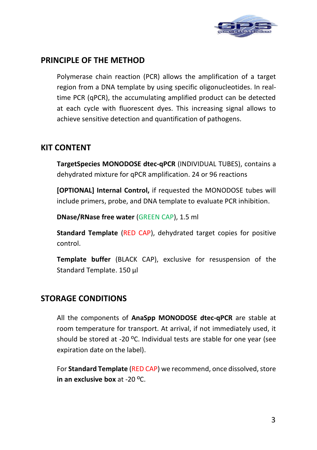

# **PRINCIPLE OF THE METHOD**

Polymerase chain reaction (PCR) allows the amplification of a target region from a DNA template by using specific oligonucleotides. In realtime PCR (qPCR), the accumulating amplified product can be detected at each cycle with fluorescent dyes. This increasing signal allows to achieve sensitive detection and quantification of pathogens.

# **KIT CONTENT**

**TargetSpecies MONODOSE dtec-qPCR** (INDIVIDUAL TUBES), contains a dehydrated mixture for qPCR amplification. 24 or 96 reactions

**[OPTIONAL] Internal Control,** if requested the MONODOSE tubes will include primers, probe, and DNA template to evaluate PCR inhibition.

**DNase/RNase free water** (GREEN CAP), 1.5 ml

**Standard Template** (RED CAP), dehydrated target copies for positive control.

**Template buffer** (BLACK CAP), exclusive for resuspension of the Standard Template. 150 µl

# **STORAGE CONDITIONS**

All the components of **AnaSpp MONODOSE dtec-qPCR** are stable at room temperature for transport. At arrival, if not immediately used, it should be stored at -20 ºC. Individual tests are stable for one year (see expiration date on the label).

For **Standard Template** (RED CAP) we recommend, once dissolved, store **in an exclusive box** at -20 ºC.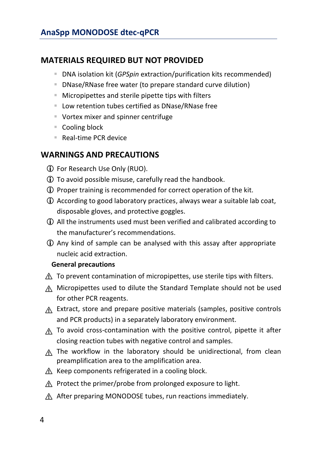# **MATERIALS REQUIRED BUT NOT PROVIDED**

- DNA isolation kit (*GPSpin* extraction/purification kits recommended)
- DNase/RNase free water (to prepare standard curve dilution)
- Micropipettes and sterile pipette tips with filters
- Low retention tubes certified as DNase/RNase free
- Vortex mixer and spinner centrifuge
- Cooling block
- Real-time PCR device

# **WARNINGS AND PRECAUTIONS**

- For Research Use Only (RUO).
- To avoid possible misuse, carefully read the handbook.
- Proper training is recommended for correct operation of the kit.
- According to good laboratory practices, always wear a suitable lab coat, disposable gloves, and protective goggles.
- All the instruments used must been verified and calibrated according to the manufacturer's recommendations.
- Any kind of sample can be analysed with this assay after appropriate nucleic acid extraction.

#### **General precautions**

- ⚠ To prevent contamination of micropipettes, use sterile tips with filters.
- ⚠ Micropipettes used to dilute the Standard Template should not be used for other PCR reagents.
- ⚠ Extract, store and prepare positive materials (samples, positive controls and PCR products) in a separately laboratory environment.
- ⚠ To avoid cross-contamination with the positive control, pipette it after closing reaction tubes with negative control and samples.
- ⚠ The workflow in the laboratory should be unidirectional, from clean preamplification area to the amplification area.
- $A$  Keep components refrigerated in a cooling block.
- ⚠ Protect the primer/probe from prolonged exposure to light.
- ⚠ After preparing MONODOSE tubes, run reactions immediately.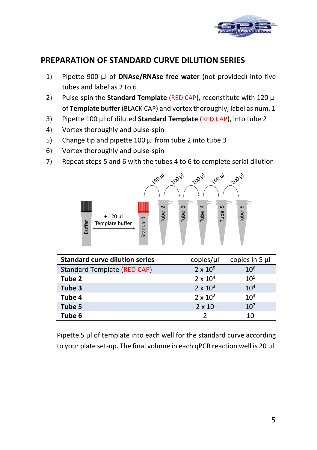

# **PREPARATION OF STANDARD CURVE DILUTION SERIES**

- 1) Pipette 900 μl of **DNAse/RNAse free water** (not provided) into five tubes and label as 2 to 6
- 2) Pulse-spin the **Standard Template** (RED CAP), reconstitute with 120 µl of **Template buffer** (BLACK CAP) and vortex thoroughly, label as num. 1
- 3) Pipette 100 μl of diluted **Standard Template** (RED CAP), into tube 2
- 4) Vortex thoroughly and pulse-spin
- 5) Change tip and pipette 100 μl from tube 2 into tube 3
- 6) Vortex thoroughly and pulse-spin
- 7) Repeat steps 5 and 6 with the tubes 4 to 6 to complete serial dilution



| .<br>Standard<br>₽<br>1⊒<br><b>Buffer</b><br>Template buffer                                                                                            | ᄅ<br>≓            | ᄅ                 |  |
|---------------------------------------------------------------------------------------------------------------------------------------------------------|-------------------|-------------------|--|
| <b>Standard curve dilution series</b>                                                                                                                   | copies/µl         | copies in $5 \mu$ |  |
| Standard Template (RED CAP)                                                                                                                             | $2 \times 10^{5}$ | $10^{6}$          |  |
| Tube 2                                                                                                                                                  | $2 \times 10^4$   | $10^{5}$          |  |
| Tube 3                                                                                                                                                  | $2 \times 10^3$   | $10^{4}$          |  |
| Tube 4                                                                                                                                                  | $2 \times 10^2$   | $10^{3}$          |  |
| Tube 5                                                                                                                                                  | $2 \times 10$     | $10^{2}$          |  |
| Tube 6                                                                                                                                                  | 2                 | 10                |  |
| Pipette 5 µl of template into each well for the standard curve according<br>to your plate set-up. The final volume in each gPCR reaction well is 20 µl. |                   |                   |  |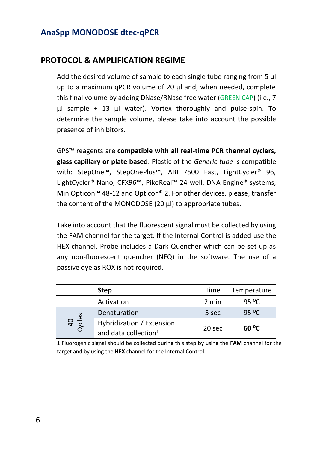# **PROTOCOL & AMPLIFICATION REGIME**

Add the desired volume of sample to each single tube ranging from 5  $\mu$ up to a maximum qPCR volume of 20 µl and, when needed, complete this final volume by adding DNase/RNase free water (GREEN CAP) (i.e., 7 µl sample + 13 µl water). Vortex thoroughly and pulse-spin. To determine the sample volume, please take into account the possible presence of inhibitors.

GPS™ reagents are **compatible with all real-time PCR thermal cyclers, glass capillary or plate based**. Plastic of the *Generic tube* is compatible with: StepOne™, StepOnePlus™, ABI 7500 Fast, LightCycler<sup>®</sup> 96, LightCycler® Nano, CFX96™, PikoReal™ 24-well, DNA Engine® systems, MiniOpticon™ 48-12 and Opticon® 2. For other devices, please, transfer the content of the MONODOSE (20  $\mu$ I) to appropriate tubes.

Take into account that the fluorescent signal must be collected by using the FAM channel for the target. If the Internal Control is added use the HEX channel. Probe includes a Dark Quencher which can be set up as any non-fluorescent quencher (NFQ) in the software. The use of a passive dye as ROX is not required.

|                       | <b>Step</b>                                                   | Time   | Temperature       |
|-----------------------|---------------------------------------------------------------|--------|-------------------|
|                       | Activation                                                    | 2 min  | 95 <sup>o</sup> C |
| <sub>/Cles</sub><br>₹ | Denaturation                                                  | 5 sec  | 95 °C             |
|                       | Hybridization / Extension<br>and data collection <sup>1</sup> | 20 sec | 60 <sup>O</sup> C |

1 Fluorogenic signal should be collected during this step by using the **FAM** channel for the target and by using the **HEX** channel for the Internal Control.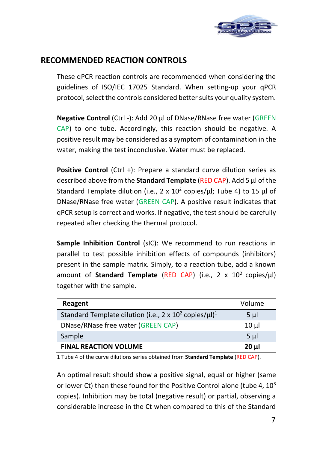

# **RECOMMENDED REACTION CONTROLS**

These qPCR reaction controls are recommended when considering the guidelines of ISO/IEC 17025 Standard. When setting-up your qPCR protocol, select the controls considered better suits your quality system.

**Negative Control** (Ctrl -): Add 20 μl of DNase/RNase free water (GREEN CAP) to one tube. Accordingly, this reaction should be negative. A positive result may be considered as a symptom of contamination in the water, making the test inconclusive. Water must be replaced.

**Positive Control** (Ctrl +): Prepare a standard curve dilution series as described above from the **Standard Template** (RED CAP). Add 5 µl of the Standard Template dilution (i.e., 2 x  $10^2$  copies/ $\mu$ l; Tube 4) to 15  $\mu$ l of DNase/RNase free water (GREEN CAP). A positive result indicates that qPCR setup is correct and works. If negative, the test should be carefully repeated after checking the thermal protocol.

**Sample Inhibition Control** (sIC): We recommend to run reactions in parallel to test possible inhibition effects of compounds (inhibitors) present in the sample matrix. Simply, to a reaction tube, add a known amount of **Standard Template** (RED CAP) (i.e., 2 x 10<sup>2</sup> copies/µl) together with the sample.

| Reagent                                                                             | Volume         |
|-------------------------------------------------------------------------------------|----------------|
| Standard Template dilution (i.e., 2 x 10 <sup>2</sup> copies/ $\mu$ l) <sup>1</sup> | 5 µl           |
| DNase/RNase free water (GREEN CAP)                                                  | $10 \mu$       |
| Sample                                                                              | 5 <sub>µ</sub> |
| <b>FINAL REACTION VOLUME</b>                                                        | $20 \mu$       |

1 Tube 4 of the curve dilutions series obtained from **Standard Template** (RED CAP).

An optimal result should show a positive signal, equal or higher (same or lower Ct) than these found for the Positive Control alone (tube 4,  $10^3$ ) copies). Inhibition may be total (negative result) or partial, observing a considerable increase in the Ct when compared to this of the Standard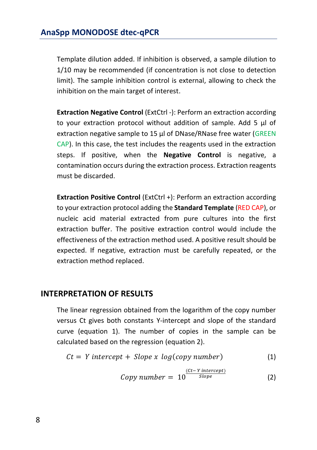Template dilution added. If inhibition is observed, a sample dilution to 1/10 may be recommended (if concentration is not close to detection limit). The sample inhibition control is external, allowing to check the inhibition on the main target of interest.

**Extraction Negative Control** (ExtCtrl -): Perform an extraction according to your extraction protocol without addition of sample. Add 5 μl of extraction negative sample to 15 µl of DNase/RNase free water (GREEN CAP). In this case, the test includes the reagents used in the extraction steps. If positive, when the **Negative Control** is negative, a contamination occurs during the extraction process. Extraction reagents must be discarded.

**Extraction Positive Control** (ExtCtrl +): Perform an extraction according to your extraction protocol adding the **Standard Template** (RED CAP), or nucleic acid material extracted from pure cultures into the first extraction buffer. The positive extraction control would include the effectiveness of the extraction method used. A positive result should be expected. If negative, extraction must be carefully repeated, or the extraction method replaced.

### **INTERPRETATION OF RESULTS**

The linear regression obtained from the logarithm of the copy number versus Ct gives both constants Y-intercept and slope of the standard curve (equation 1). The number of copies in the sample can be calculated based on the regression (equation 2).

$$
Ct = Y \text{ intercept} + \text{Slope} \times \log(\text{copy number}) \tag{1}
$$

Copy number = 
$$
10^{\frac{(Ct - Y\text{ intercept})}{Slope}}
$$
 (2)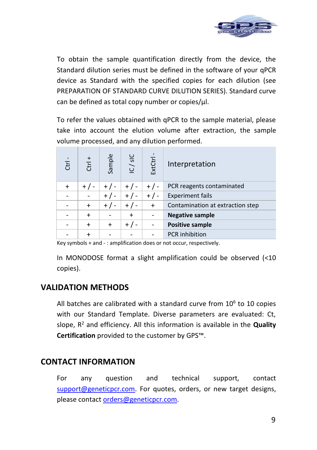

To obtain the sample quantification directly from the device, the Standard dilution series must be defined in the software of your qPCR device as Standard with the specified copies for each dilution (see PREPARATION OF STANDARD CURVE DILUTION SERIES). Standard curve can be defined as total copy number or copies/µl.

To refer the values obtained with qPCR to the sample material, please take into account the elution volume after extraction, the sample volume processed, and any dilution performed.

| <b>Ctrl</b> | $\,^+$<br>E | Sample    | IC/sIC    | ExtCtrl   | Interpretation                   |
|-------------|-------------|-----------|-----------|-----------|----------------------------------|
|             | $+$ / -     |           | $+$ / -   | $+/-$     | PCR reagents contaminated        |
|             |             |           | $+$ / -   | $+/-$     | <b>Experiment fails</b>          |
|             | $\ddot{}$   |           | $+$ /     | $\ddot{}$ | Contamination at extraction step |
|             | $\div$      |           | $\ddot{}$ |           | <b>Negative sample</b>           |
|             | $\ddot{}$   | $\ddot{}$ | $+$ /     |           | <b>Positive sample</b>           |
|             |             |           |           |           | <b>PCR</b> inhibition            |

Key symbols + and - : amplification does or not occur, respectively.

In MONODOSE format a slight amplification could be observed (<10 copies).

### **VALIDATION METHODS**

All batches are calibrated with a standard curve from  $10<sup>6</sup>$  to 10 copies with our Standard Template. Diverse parameters are evaluated: Ct, slope, R <sup>2</sup> and efficiency. All this information is available in the **Quality Certification** provided to the customer by GPS™.

# **CONTACT INFORMATION**

For any question and technical support, contact [support@geneticpcr.com.](mailto:support@geneticpcr.com) For quotes, orders, or new target designs, please contac[t orders@geneticpcr.com.](mailto:orders@geneticpcr.com)